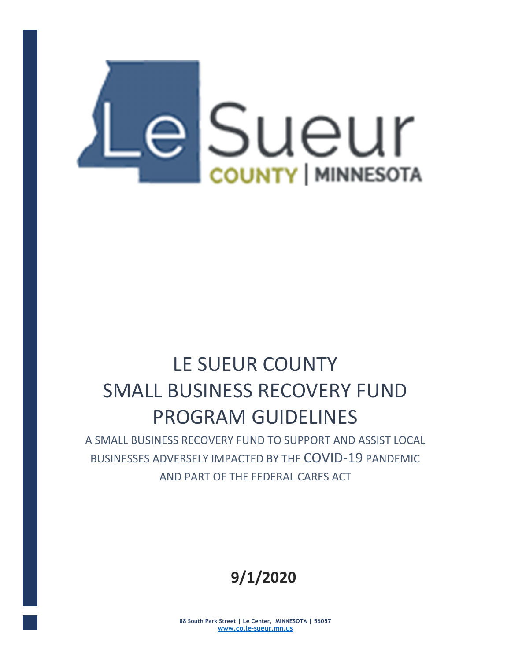

# LE SUEUR COUNTY SMALL BUSINESS RECOVERY FUND PROGRAM GUIDELINES

A SMALL BUSINESS RECOVERY FUND TO SUPPORT AND ASSIST LOCAL BUSINESSES ADVERSELY IMPACTED BY THE COVID-19 PANDEMIC AND PART OF THE FEDERAL CARES ACT

## 9/1/2020

88 South Park Street | Le Center, MINNESOTA | 56057 www.co.le-sueur.mn.us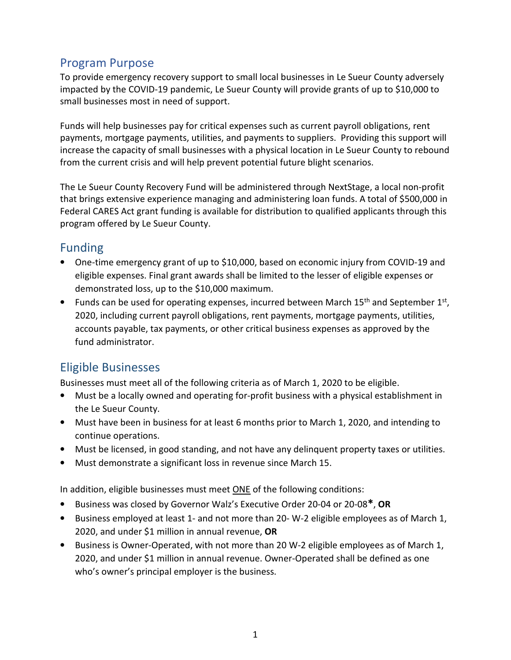#### Program Purpose

To provide emergency recovery support to small local businesses in Le Sueur County adversely impacted by the COVID-19 pandemic, Le Sueur County will provide grants of up to \$10,000 to small businesses most in need of support.

Funds will help businesses pay for critical expenses such as current payroll obligations, rent payments, mortgage payments, utilities, and payments to suppliers. Providing this support will increase the capacity of small businesses with a physical location in Le Sueur County to rebound from the current crisis and will help prevent potential future blight scenarios.

The Le Sueur County Recovery Fund will be administered through NextStage, a local non-profit that brings extensive experience managing and administering loan funds. A total of \$500,000 in Federal CARES Act grant funding is available for distribution to qualified applicants through this program offered by Le Sueur County.

#### Funding

- One-time emergency grant of up to \$10,000, based on economic injury from COVID-19 and eligible expenses. Final grant awards shall be limited to the lesser of eligible expenses or demonstrated loss, up to the \$10,000 maximum.
- Funds can be used for operating expenses, incurred between March 15<sup>th</sup> and September 1<sup>st</sup>, 2020, including current payroll obligations, rent payments, mortgage payments, utilities, accounts payable, tax payments, or other critical business expenses as approved by the fund administrator.

### Eligible Businesses

Businesses must meet all of the following criteria as of March 1, 2020 to be eligible.

- Must be a locally owned and operating for-profit business with a physical establishment in the Le Sueur County.
- Must have been in business for at least 6 months prior to March 1, 2020, and intending to continue operations.
- Must be licensed, in good standing, and not have any delinquent property taxes or utilities.
- Must demonstrate a significant loss in revenue since March 15.

In addition, eligible businesses must meet ONE of the following conditions:

- Business was closed by Governor Walz's Executive Order 20-04 or 20-08\*, OR
- Business employed at least 1- and not more than 20- W-2 eligible employees as of March 1, 2020, and under \$1 million in annual revenue, OR
- Business is Owner-Operated, with not more than 20 W-2 eligible employees as of March 1, 2020, and under \$1 million in annual revenue. Owner-Operated shall be defined as one who's owner's principal employer is the business.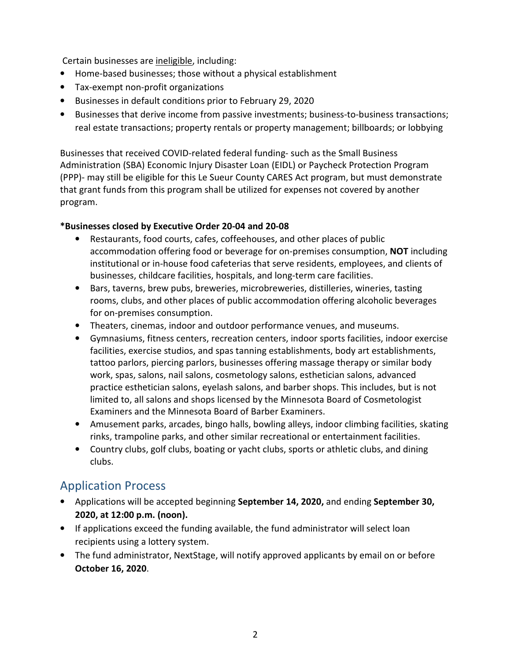Certain businesses are ineligible, including:

- Home-based businesses; those without a physical establishment
- Tax-exempt non-profit organizations
- Businesses in default conditions prior to February 29, 2020
- Businesses that derive income from passive investments; business-to-business transactions; real estate transactions; property rentals or property management; billboards; or lobbying

Businesses that received COVID-related federal funding- such as the Small Business Administration (SBA) Economic Injury Disaster Loan (EIDL) or Paycheck Protection Program (PPP)- may still be eligible for this Le Sueur County CARES Act program, but must demonstrate that grant funds from this program shall be utilized for expenses not covered by another program.

#### \*Businesses closed by Executive Order 20-04 and 20-08

- Restaurants, food courts, cafes, coffeehouses, and other places of public accommodation offering food or beverage for on-premises consumption, NOT including institutional or in-house food cafeterias that serve residents, employees, and clients of businesses, childcare facilities, hospitals, and long-term care facilities.
- Bars, taverns, brew pubs, breweries, microbreweries, distilleries, wineries, tasting rooms, clubs, and other places of public accommodation offering alcoholic beverages for on-premises consumption.
- Theaters, cinemas, indoor and outdoor performance venues, and museums.
- Gymnasiums, fitness centers, recreation centers, indoor sports facilities, indoor exercise facilities, exercise studios, and spas tanning establishments, body art establishments, tattoo parlors, piercing parlors, businesses offering massage therapy or similar body work, spas, salons, nail salons, cosmetology salons, esthetician salons, advanced practice esthetician salons, eyelash salons, and barber shops. This includes, but is not limited to, all salons and shops licensed by the Minnesota Board of Cosmetologist Examiners and the Minnesota Board of Barber Examiners.
- Amusement parks, arcades, bingo halls, bowling alleys, indoor climbing facilities, skating rinks, trampoline parks, and other similar recreational or entertainment facilities.
- Country clubs, golf clubs, boating or yacht clubs, sports or athletic clubs, and dining clubs.

### Application Process

- Applications will be accepted beginning September 14, 2020, and ending September 30, 2020, at 12:00 p.m. (noon).
- If applications exceed the funding available, the fund administrator will select loan recipients using a lottery system.
- The fund administrator, NextStage, will notify approved applicants by email on or before October 16, 2020.